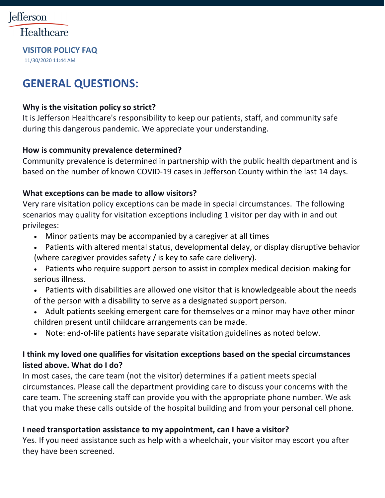Healthcare

### **VISITOR POLICY FAQ**

11/30/2020 11:44 AM

# **GENERAL QUESTIONS:**

# **Why is the visitation policy so strict?**

It is Jefferson Healthcare's responsibility to keep our patients, staff, and community safe during this dangerous pandemic. We appreciate your understanding.

# **How is community prevalence determined?**

Community prevalence is determined in partnership with the public health department and is based on the number of known COVID-19 cases in Jefferson County within the last 14 days.

# **What exceptions can be made to allow visitors?**

Very rare visitation policy exceptions can be made in special circumstances. The following scenarios may quality for visitation exceptions including 1 visitor per day with in and out privileges:

- Minor patients may be accompanied by a caregiver at all times
- Patients with altered mental status, developmental delay, or display disruptive behavior (where caregiver provides safety / is key to safe care delivery).
- Patients who require support person to assist in complex medical decision making for serious illness.
- Patients with disabilities are allowed one visitor that is knowledgeable about the needs of the person with a disability to serve as a designated support person.
- Adult patients seeking emergent care for themselves or a minor may have other minor children present until childcare arrangements can be made.
- Note: end-of-life patients have separate visitation guidelines as noted below.

# **I think my loved one qualifies for visitation exceptions based on the special circumstances listed above. What do I do?**

In most cases, the care team (not the visitor) determines if a patient meets special circumstances. Please call the department providing care to discuss your concerns with the care team. The screening staff can provide you with the appropriate phone number. We ask that you make these calls outside of the hospital building and from your personal cell phone.

# **I need transportation assistance to my appointment, can I have a visitor?**

Yes. If you need assistance such as help with a wheelchair, your visitor may escort you after they have been screened.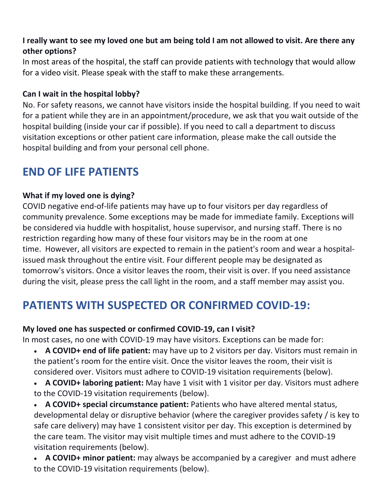# **I really want to see my loved one but am being told I am not allowed to visit. Are there any other options?**

In most areas of the hospital, the staff can provide patients with technology that would allow for a video visit. Please speak with the staff to make these arrangements.

### **Can I wait in the hospital lobby?**

No. For safety reasons, we cannot have visitors inside the hospital building. If you need to wait for a patient while they are in an appointment/procedure, we ask that you wait outside of the hospital building (inside your car if possible). If you need to call a department to discuss visitation exceptions or other patient care information, please make the call outside the hospital building and from your personal cell phone.

# **END OF LIFE PATIENTS**

### **What if my loved one is dying?**

COVID negative end-of-life patients may have up to four visitors per day regardless of community prevalence. Some exceptions may be made for immediate family. Exceptions will be considered via huddle with hospitalist, house supervisor, and nursing staff. There is no restriction regarding how many of these four visitors may be in the room at one time. However, all visitors are expected to remain in the patient's room and wear a hospitalissued mask throughout the entire visit. Four different people may be designated as tomorrow's visitors. Once a visitor leaves the room, their visit is over. If you need assistance during the visit, please press the call light in the room, and a staff member may assist you.

# **PATIENTS WITH SUSPECTED OR CONFIRMED COVID-19:**

## **My loved one has suspected or confirmed COVID-19, can I visit?**

In most cases, no one with COVID-19 may have visitors. Exceptions can be made for:

• **A COVID+ end of life patient:** may have up to 2 visitors per day. Visitors must remain in the patient's room for the entire visit. Once the visitor leaves the room, their visit is considered over. Visitors must adhere to COVID-19 visitation requirements (below).

• **A COVID+ laboring patient:** May have 1 visit with 1 visitor per day. Visitors must adhere to the COVID-19 visitation requirements (below).

• **A COVID+ special circumstance patient:** Patients who have altered mental status, developmental delay or disruptive behavior (where the caregiver provides safety / is key to safe care delivery) may have 1 consistent visitor per day. This exception is determined by the care team. The visitor may visit multiple times and must adhere to the COVID-19 visitation requirements (below).

• **A COVID+ minor patient:** may always be accompanied by a caregiver and must adhere to the COVID-19 visitation requirements (below).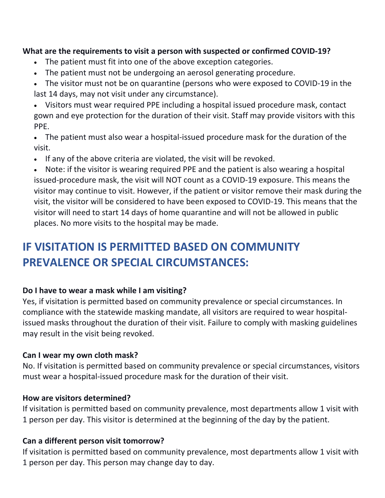### **What are the requirements to visit a person with suspected or confirmed COVID-19?**

- The patient must fit into one of the above exception categories.
- The patient must not be undergoing an aerosol generating procedure.
- The visitor must not be on quarantine (persons who were exposed to COVID-19 in the last 14 days, may not visit under any circumstance).
- Visitors must wear required PPE including a hospital issued procedure mask, contact gown and eye protection for the duration of their visit. Staff may provide visitors with this PPE.
- The patient must also wear a hospital-issued procedure mask for the duration of the visit.
- If any of the above criteria are violated, the visit will be revoked.
- Note: if the visitor is wearing required PPE and the patient is also wearing a hospital issued-procedure mask, the visit will NOT count as a COVID-19 exposure. This means the visitor may continue to visit. However, if the patient or visitor remove their mask during the visit, the visitor will be considered to have been exposed to COVID-19. This means that the visitor will need to start 14 days of home quarantine and will not be allowed in public places. No more visits to the hospital may be made.

# **IF VISITATION IS PERMITTED BASED ON COMMUNITY PREVALENCE OR SPECIAL CIRCUMSTANCES:**

### **Do I have to wear a mask while I am visiting?**

Yes, if visitation is permitted based on community prevalence or special circumstances. In compliance with the statewide masking mandate, all visitors are required to wear hospitalissued masks throughout the duration of their visit. Failure to comply with masking guidelines may result in the visit being revoked.

## **Can I wear my own cloth mask?**

No. If visitation is permitted based on community prevalence or special circumstances, visitors must wear a hospital-issued procedure mask for the duration of their visit.

### **How are visitors determined?**

If visitation is permitted based on community prevalence, most departments allow 1 visit with 1 person per day. This visitor is determined at the beginning of the day by the patient.

## **Can a different person visit tomorrow?**

If visitation is permitted based on community prevalence, most departments allow 1 visit with 1 person per day. This person may change day to day.